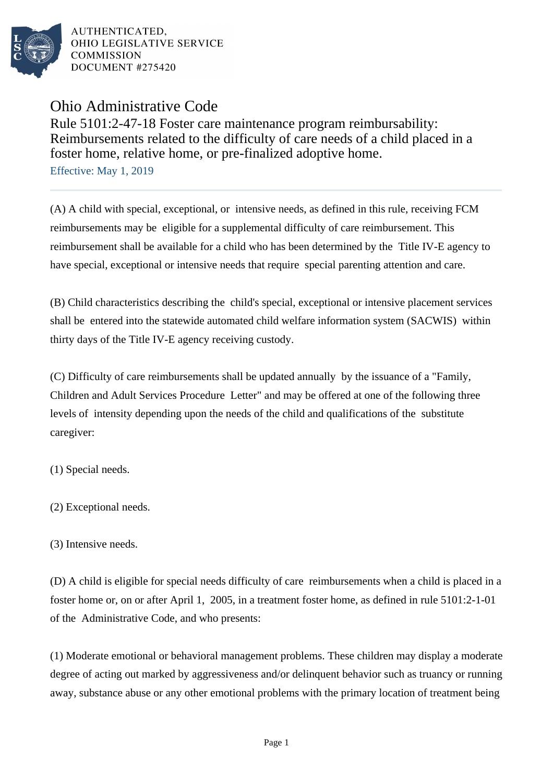

Ohio Administrative Code

Rule 5101:2-47-18 Foster care maintenance program reimbursability: Reimbursements related to the difficulty of care needs of a child placed in a foster home, relative home, or pre-finalized adoptive home.

Effective: May 1, 2019

(A) A child with special, exceptional, or intensive needs, as defined in this rule, receiving FCM reimbursements may be eligible for a supplemental difficulty of care reimbursement. This reimbursement shall be available for a child who has been determined by the Title IV-E agency to have special, exceptional or intensive needs that require special parenting attention and care.

(B) Child characteristics describing the child's special, exceptional or intensive placement services shall be entered into the statewide automated child welfare information system (SACWIS) within thirty days of the Title IV-E agency receiving custody.

(C) Difficulty of care reimbursements shall be updated annually by the issuance of a "Family, Children and Adult Services Procedure Letter" and may be offered at one of the following three levels of intensity depending upon the needs of the child and qualifications of the substitute caregiver:

(1) Special needs.

(2) Exceptional needs.

(3) Intensive needs.

(D) A child is eligible for special needs difficulty of care reimbursements when a child is placed in a foster home or, on or after April 1, 2005, in a treatment foster home, as defined in rule 5101:2-1-01 of the Administrative Code, and who presents:

(1) Moderate emotional or behavioral management problems. These children may display a moderate degree of acting out marked by aggressiveness and/or delinquent behavior such as truancy or running away, substance abuse or any other emotional problems with the primary location of treatment being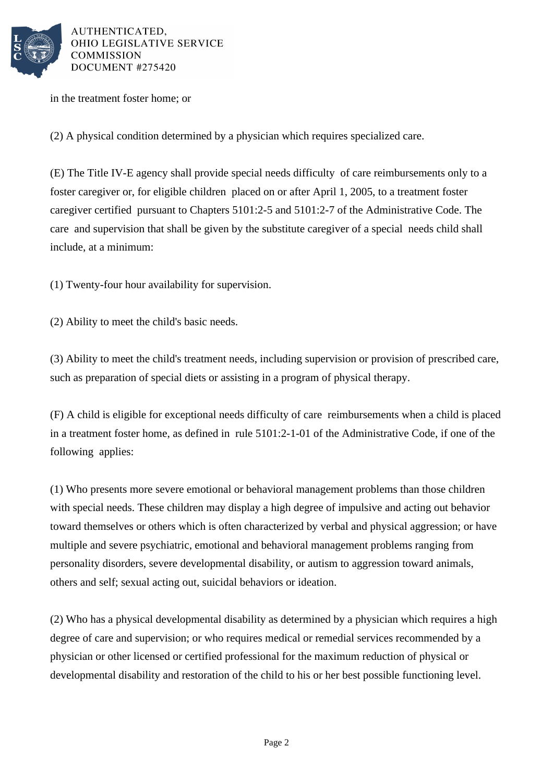

in the treatment foster home; or

(2) A physical condition determined by a physician which requires specialized care.

(E) The Title IV-E agency shall provide special needs difficulty of care reimbursements only to a foster caregiver or, for eligible children placed on or after April 1, 2005, to a treatment foster caregiver certified pursuant to Chapters 5101:2-5 and 5101:2-7 of the Administrative Code. The care and supervision that shall be given by the substitute caregiver of a special needs child shall include, at a minimum:

 $(1)$  Twenty-four hour availability for supervision.

(2) Ability to meet the child's basic needs.

(3) Ability to meet the child's treatment needs, including supervision or provision of prescribed care, such as preparation of special diets or assisting in a program of physical therapy.

(F) A child is eligible for exceptional needs difficulty of care reimbursements when a child is placed in a treatment foster home, as defined in rule 5101:2-1-01 of the Administrative Code, if one of the following applies:

(1) Who presents more severe emotional or behavioral management problems than those children with special needs. These children may display a high degree of impulsive and acting out behavior toward themselves or others which is often characterized by verbal and physical aggression; or have multiple and severe psychiatric, emotional and behavioral management problems ranging from personality disorders, severe developmental disability, or autism to aggression toward animals, others and self; sexual acting out, suicidal behaviors or ideation.

(2) Who has a physical developmental disability as determined by a physician which requires a high degree of care and supervision; or who requires medical or remedial services recommended by a physician or other licensed or certified professional for the maximum reduction of physical or developmental disability and restoration of the child to his or her best possible functioning level.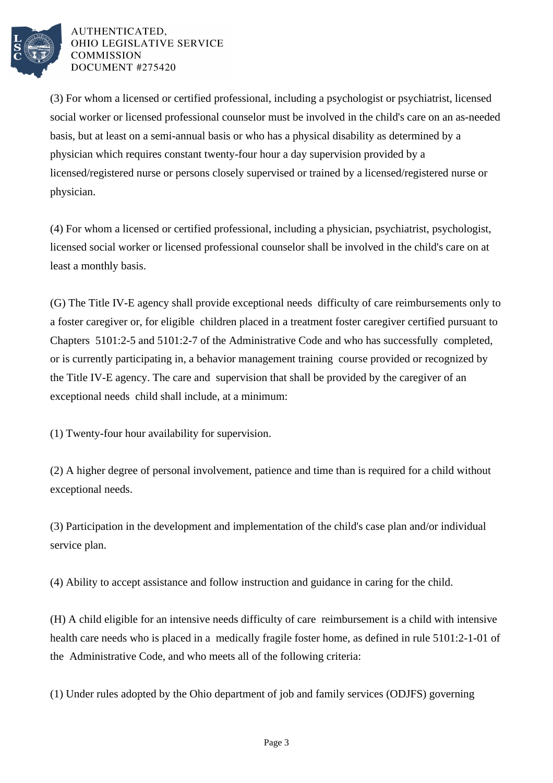

(3) For whom a licensed or certified professional, including a psychologist or psychiatrist, licensed social worker or licensed professional counselor must be involved in the child's care on an as-needed basis, but at least on a semi-annual basis or who has a physical disability as determined by a physician which requires constant twenty-four hour a day supervision provided by a licensed/registered nurse or persons closely supervised or trained by a licensed/registered nurse or physician.

(4) For whom a licensed or certified professional, including a physician, psychiatrist, psychologist, licensed social worker or licensed professional counselor shall be involved in the child's care on at least a monthly basis.

(G) The Title IV-E agency shall provide exceptional needs difficulty of care reimbursements only to a foster caregiver or, for eligible children placed in a treatment foster caregiver certified pursuant to Chapters 5101:2-5 and 5101:2-7 of the Administrative Code and who has successfully completed, or is currently participating in, a behavior management training course provided or recognized by the Title IV-E agency. The care and supervision that shall be provided by the caregiver of an exceptional needs child shall include, at a minimum:

 $(1)$  Twenty-four hour availability for supervision.

(2) A higher degree of personal involvement, patience and time than is required for a child without exceptional needs.

(3) Participation in the development and implementation of the child's case plan and/or individual service plan.

(4) Ability to accept assistance and follow instruction and guidance in caring for the child.

(H) A child eligible for an intensive needs difficulty of care reimbursement is a child with intensive health care needs who is placed in a medically fragile foster home, as defined in rule 5101:2-1-01 of the Administrative Code, and who meets all of the following criteria:

(1) Under rules adopted by the Ohio department of job and family services (ODJFS) governing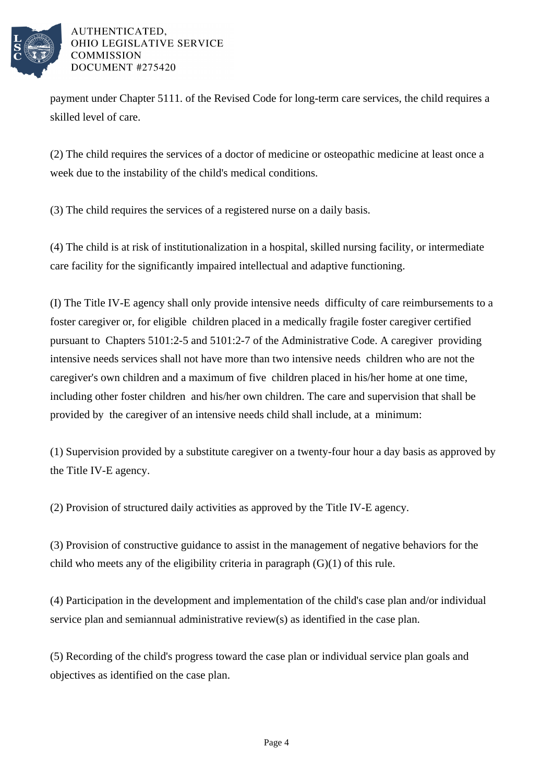

payment under Chapter 5111. of the Revised Code for long-term care services, the child requires a skilled level of care.

(2) The child requires the services of a doctor of medicine or osteopathic medicine at least once a week due to the instability of the child's medical conditions.

(3) The child requires the services of a registered nurse on a daily basis.

(4) The child is at risk of institutionalization in a hospital, skilled nursing facility, or intermediate care facility for the significantly impaired intellectual and adaptive functioning.

(I) The Title IV-E agency shall only provide intensive needs difficulty of care reimbursements to a foster caregiver or, for eligible children placed in a medically fragile foster caregiver certified pursuant to Chapters 5101:2-5 and 5101:2-7 of the Administrative Code. A caregiver providing intensive needs services shall not have more than two intensive needs children who are not the caregiver's own children and a maximum of five children placed in his/her home at one time, including other foster children and his/her own children. The care and supervision that shall be provided by the caregiver of an intensive needs child shall include, at a minimum:

(1) Supervision provided by a substitute caregiver on a twenty-four hour a day basis as approved by the Title IV-E agency.

(2) Provision of structured daily activities as approved by the Title IV-E agency.

(3) Provision of constructive guidance to assist in the management of negative behaviors for the child who meets any of the eligibility criteria in paragraph  $(G)(1)$  of this rule.

(4) Participation in the development and implementation of the child's case plan and/or individual service plan and semiannual administrative review $(s)$  as identified in the case plan.

(5) Recording of the child's progress toward the case plan or individual service plan goals and objectives as identified on the case plan.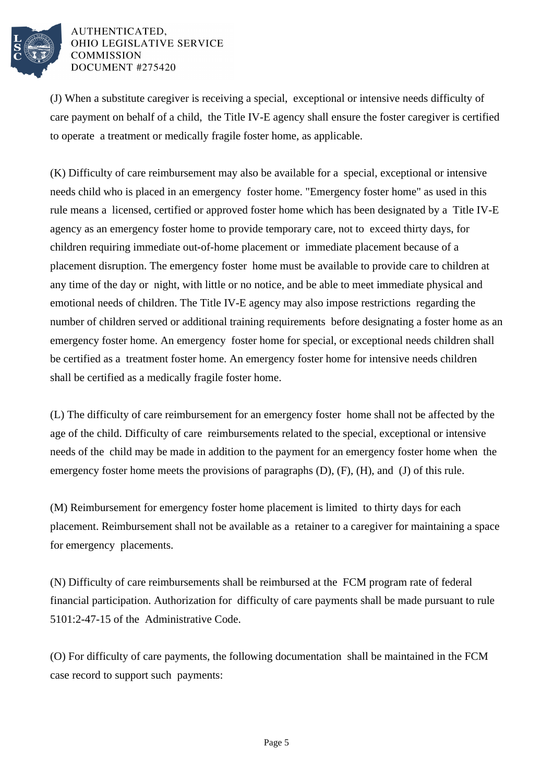

(J) When a substitute caregiver is receiving a special, exceptional or intensive needs difficulty of care payment on behalf of a child, the Title IV-E agency shall ensure the foster caregiver is certified to operate a treatment or medically fragile foster home, as applicable.

(K) Difficulty of care reimbursement may also be available for a special, exceptional or intensive needs child who is placed in an emergency foster home. "Emergency foster home" as used in this rule means a licensed, certified or approved foster home which has been designated by a Title IV-E agency as an emergency foster home to provide temporary care, not to exceed thirty days, for children requiring immediate out-of-home placement or immediate placement because of a placement disruption. The emergency foster home must be available to provide care to children at any time of the day or night, with little or no notice, and be able to meet immediate physical and emotional needs of children. The Title IV-E agency may also impose restrictions regarding the number of children served or additional training requirements before designating a foster home as an emergency foster home. An emergency foster home for special, or exceptional needs children shall be certified as a treatment foster home. An emergency foster home for intensive needs children shall be certified as a medically fragile foster home.

(L) The difficulty of care reimbursement for an emergency foster home shall not be affected by the age of the child. Difficulty of care reimbursements related to the special, exceptional or intensive needs of the child may be made in addition to the payment for an emergency foster home when the emergency foster home meets the provisions of paragraphs (D), (F), (H), and (J) of this rule.

(M) Reimbursement for emergency foster home placement is limited to thirty days for each placement. Reimbursement shall not be available as a retainer to a caregiver for maintaining a space for emergency placements.

(N) Difficulty of care reimbursements shall be reimbursed at the FCM program rate of federal financial participation. Authorization for difficulty of care payments shall be made pursuant to rule 5101:2-47-15 of the Administrative Code.

(O) For difficulty of care payments, the following documentation shall be maintained in the FCM case record to support such payments: